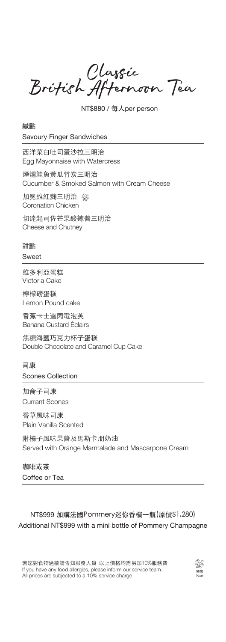Classic<br>British Afternoon Tea

NT\$880 / 每人per person

鹹點 Savoury Finger Sandwiches

西洋菜白吐司蛋沙拉三明治 Egg Mayonnaise with Watercress

煙燻鮭魚黃瓜竹炭三明治 Cucumber & Smoked Salmon with Cream Cheese

加冕雞紅麴三明治 Coronation Chicken

切達起司佐芒果酸辣醬三明治 Cheese and Chutney

## 甜點

## Sweet

維多利亞蛋糕 Victoria Cake

檸檬磅蛋糕 Lemon Pound cake

香蕉卡士達閃電泡芙 Banana Custard Éclairs

焦糖海鹽巧克力杯子蛋糕 Double Chocolate and Caramel Cup Cake

## 司康

Scones Collection

加侖子司康 Currant Scones

香草風味司康

Plain Vanilla Scented

附橘子風味果醬及馬斯卡朋奶油 Served with Orange Marmalade and Mascarpone Cream

咖啡或茶 Coffee or Tea

## NT\$999 加購法國Pommery迷你香檳一瓶(原價\$1,280) Additional NT\$999 with a mini bottle of Pommery Champagne